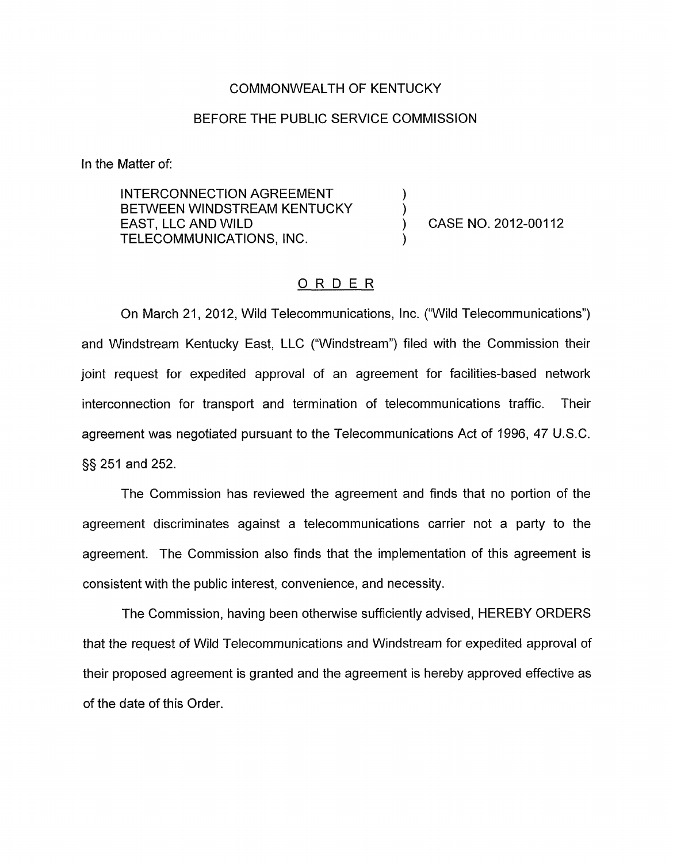## COMMONWEALTH OF KENTUCKY

## BEFORE THE PUBLIC SERVICE COMMISSION

In the Matter of:

INTERCONNECTION AGREEMENT BETWEEN WINDSTREAM KENTUCKY<br>EAST, LLC AND WILD **TELECOMMUNICATIONS, INC.** 

CASE NO. 2012-00112

## ORDER

On March 21, 2012, Wild Telecommunications, Inc. ("Wild Telecommunications") and Windstream Kentucky East, LLC ("Windstream") filed with the Commission their joint request for expedited approval of an agreement for facilities-based network interconnection for transport and termination of telecommunications traffic. Their agreement was negotiated pursuant to the Telecommunications Act of 1996, 47 U.S.C. §§ 251 and 252.

The Commission has reviewed the agreement and finds that no portion of the agreement discriminates against a telecommunications carrier not a party to the agreement. The Commission also finds that the implementation of this agreement is consistent with the public interest, convenience, and necessity

The Commission, having been otherwise sufficiently advised, HEREBY ORDERS that the request of Wild Telecommunications and Windstream for expedited approval of their proposed agreement is granted and the agreement is hereby approved effective as of the date of this Order.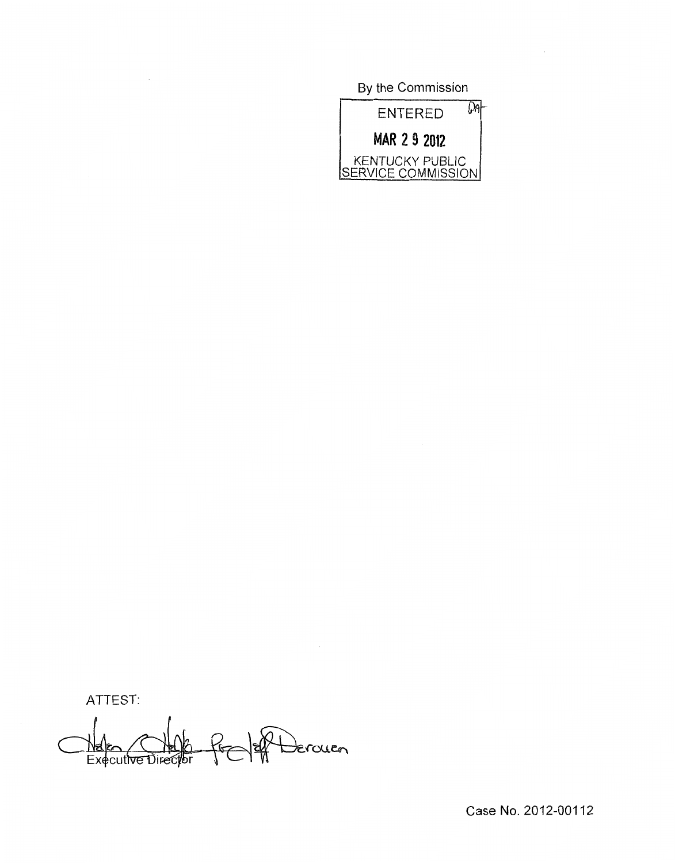By the Commission



ATTEST:

Derouen Nation (C)